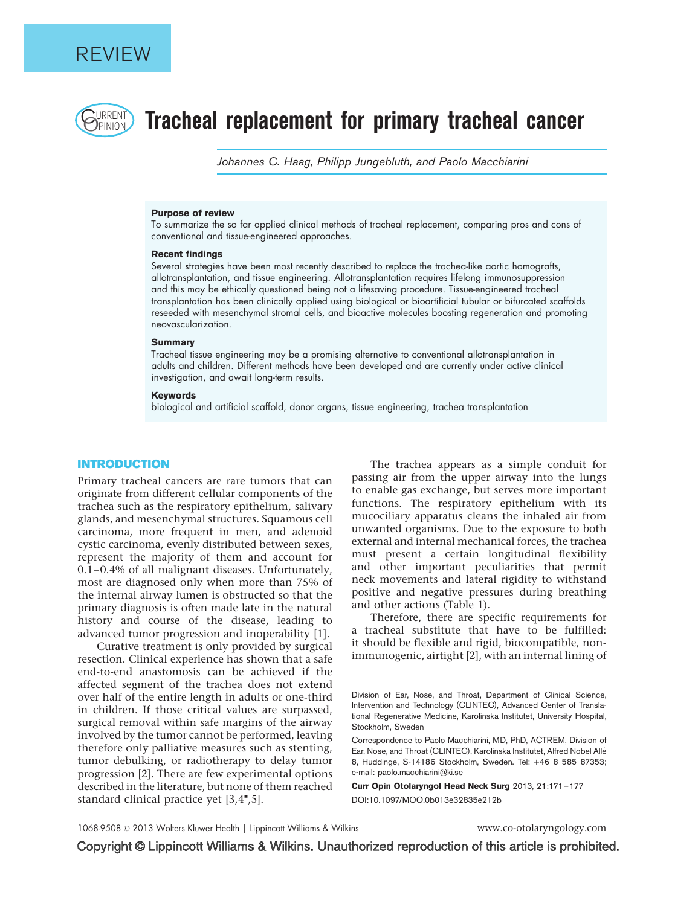

# DRRENT **Tracheal replacement for primary tracheal cancer**

Johannes C. Haag, Philipp Jungebluth, and Paolo Macchiarini

#### Purpose of review

To summarize the so far applied clinical methods of tracheal replacement, comparing pros and cons of conventional and tissue-engineered approaches.

#### Recent findings

Several strategies have been most recently described to replace the trachea-like aortic homografts, allotransplantation, and tissue engineering. Allotransplantation requires lifelong immunosuppression and this may be ethically questioned being not a lifesaving procedure. Tissue-engineered tracheal transplantation has been clinically applied using biological or bioartificial tubular or bifurcated scaffolds reseeded with mesenchymal stromal cells, and bioactive molecules boosting regeneration and promoting neovascularization.

#### Summary

Tracheal tissue engineering may be a promising alternative to conventional allotransplantation in adults and children. Different methods have been developed and are currently under active clinical investigation, and await long-term results.

#### Keywords

biological and artificial scaffold, donor organs, tissue engineering, trachea transplantation

#### INTRODUCTION

Primary tracheal cancers are rare tumors that can originate from different cellular components of the trachea such as the respiratory epithelium, salivary glands, and mesenchymal structures. Squamous cell carcinoma, more frequent in men, and adenoid cystic carcinoma, evenly distributed between sexes, represent the majority of them and account for 0.1–0.4% of all malignant diseases. Unfortunately, most are diagnosed only when more than 75% of the internal airway lumen is obstructed so that the primary diagnosis is often made late in the natural history and course of the disease, leading to advanced tumor progression and inoperability [\[1\].](#page-5-0)

Curative treatment is only provided by surgical resection. Clinical experience has shown that a safe end-to-end anastomosis can be achieved if the affected segment of the trachea does not extend over half of the entire length in adults or one-third in children. If those critical values are surpassed, surgical removal within safe margins of the airway involved by the tumor cannot be performed, leaving therefore only palliative measures such as stenting, tumor debulking, or radiotherapy to delay tumor progression [\[2\].](#page-5-0) There are few experimental options described in the literature, but none of them reached standard clinical practice yet [\[3,4](#page-6-0)"[,5\].](#page-6-0)

The trachea appears as a simple conduit for passing air from the upper airway into the lungs to enable gas exchange, but serves more important functions. The respiratory epithelium with its mucociliary apparatus cleans the inhaled air from unwanted organisms. Due to the exposure to both external and internal mechanical forces, the trachea must present a certain longitudinal flexibility and other important peculiarities that permit neck movements and lateral rigidity to withstand positive and negative pressures during breathing and other actions (Table 1).

Therefore, there are specific requirements for a tracheal substitute that have to be fulfilled: it should be flexible and rigid, biocompatible, nonimmunogenic, airtight [\[2\]](#page-5-0), with an internal lining of

Curr Opin Otolaryngol Head Neck Surg 2013, 21:171–177 DOI:10.1097/MOO.0b013e32835e212b

Division of Ear, Nose, and Throat, Department of Clinical Science, Intervention and Technology (CLINTEC), Advanced Center of Translational Regenerative Medicine, Karolinska Institutet, University Hospital, Stockholm, Sweden

Correspondence to Paolo Macchiarini, MD, PhD, ACTREM, Division of Ear, Nose, and Throat (CLINTEC), Karolinska Institutet, Alfred Nobel Allé 8, Huddinge, S-14186 Stockholm, Sweden. Tel: +46 8 585 87353; e-mail: [paolo.macchiarini@ki.se](mailto:paolo.macchiarini@ki.se)

Copyright © Lippincott Williams & Wilkins. Unauthorized reproduction of this article is prohibited.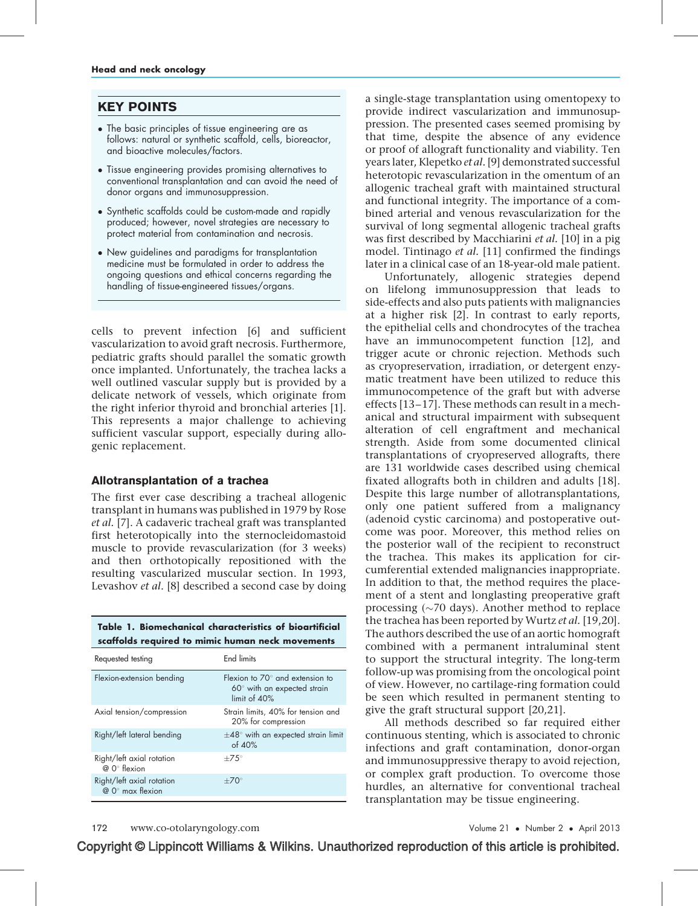# KEY POINTS

- The basic principles of tissue engineering are as follows: natural or synthetic scaffold, cells, bioreactor, and bioactive molecules/factors.
- Tissue engineering provides promising alternatives to conventional transplantation and can avoid the need of donor organs and immunosuppression.
- Synthetic scaffolds could be custom-made and rapidly produced; however, novel strategies are necessary to protect material from contamination and necrosis.
- New guidelines and paradigms for transplantation medicine must be formulated in order to address the ongoing questions and ethical concerns regarding the handling of tissue-engineered tissues/organs.

cells to prevent infection [\[6\]](#page-6-0) and sufficient vascularization to avoid graft necrosis. Furthermore, pediatric grafts should parallel the somatic growth once implanted. Unfortunately, the trachea lacks a well outlined vascular supply but is provided by a delicate network of vessels, which originate from the right inferior thyroid and bronchial arteries [\[1\].](#page-5-0) This represents a major challenge to achieving sufficient vascular support, especially during allogenic replacement.

## Allotransplantation of a trachea

The first ever case describing a tracheal allogenic transplant in humans was published in 1979 by Rose et al. [\[7\].](#page-6-0) A cadaveric tracheal graft was transplanted first heterotopically into the sternocleidomastoid muscle to provide revascularization (for 3 weeks) and then orthotopically repositioned with the resulting vascularized muscular section. In 1993, Levashov et al. [\[8\]](#page-6-0) described a second case by doing

| Table 1. Biomechanical characteristics of bioartificial<br>scaffolds required to mimic human neck movements |                                                                                                         |  |  |
|-------------------------------------------------------------------------------------------------------------|---------------------------------------------------------------------------------------------------------|--|--|
| Requested testing                                                                                           | <b>End limits</b>                                                                                       |  |  |
| Flexion-extension bending                                                                                   | Flexion to $70^{\circ}$ and extension to<br>$60^{\circ}$ with an expected strain<br>$\lim$ it of $40\%$ |  |  |
| Axial tension/compression                                                                                   | Strain limits, 40% for tension and<br>20% for compression                                               |  |  |
| Right/left lateral bending                                                                                  | $\pm 48^{\circ}$ with an expected strain limit<br>of 40%                                                |  |  |
| Right/left axial rotation<br>$@0°$ flexion                                                                  | $+7.5^\circ$                                                                                            |  |  |
| Right/left axial rotation<br>$@$ $0°$ max flexion                                                           | $+70^\circ$                                                                                             |  |  |

a single-stage transplantation using omentopexy to provide indirect vascularization and immunosuppression. The presented cases seemed promising by that time, despite the absence of any evidence or proof of allograft functionality and viability. Ten years later, Klepetko et al. [\[9\]](#page-6-0) demonstrated successful heterotopic revascularization in the omentum of an allogenic tracheal graft with maintained structural and functional integrity. The importance of a combined arterial and venous revascularization for the survival of long segmental allogenic tracheal grafts was first described by Macchiarini et al. [\[10\]](#page-6-0) in a pig model. Tintinago et al. [\[11\]](#page-6-0) confirmed the findings later in a clinical case of an 18-year-old male patient.

Unfortunately, allogenic strategies depend on lifelong immunosuppression that leads to side-effects and also puts patients with malignancies at a higher risk [\[2\]](#page-5-0). In contrast to early reports, the epithelial cells and chondrocytes of the trachea have an immunocompetent function [\[12\]](#page-6-0), and trigger acute or chronic rejection. Methods such as cryopreservation, irradiation, or detergent enzymatic treatment have been utilized to reduce this immunocompetence of the graft but with adverse effects [\[13–17\].](#page-6-0) These methods can result in a mechanical and structural impairment with subsequent alteration of cell engraftment and mechanical strength. Aside from some documented clinical transplantations of cryopreserved allografts, there are 131 worldwide cases described using chemical fixated allografts both in children and adults [\[18\]](#page-6-0). Despite this large number of allotransplantations, only one patient suffered from a malignancy (adenoid cystic carcinoma) and postoperative outcome was poor. Moreover, this method relies on the posterior wall of the recipient to reconstruct the trachea. This makes its application for circumferential extended malignancies inappropriate. In addition to that, the method requires the placement of a stent and longlasting preoperative graft processing  $(\sim 70 \text{ days})$ . Another method to replace the trachea has been reported by Wurtz et al. [\[19,20\].](#page-6-0) The authors described the use of an aortic homograft combined with a permanent intraluminal stent to support the structural integrity. The long-term follow-up was promising from the oncological point of view. However, no cartilage-ring formation could be seen which resulted in permanent stenting to give the graft structural support [\[20,21\].](#page-6-0)

All methods described so far required either continuous stenting, which is associated to chronic infections and graft contamination, donor-organ and immunosuppressive therapy to avoid rejection, or complex graft production. To overcome those hurdles, an alternative for conventional tracheal transplantation may be tissue engineering.

172 www.co-otolaryngology.com

• Number 2 • April 2013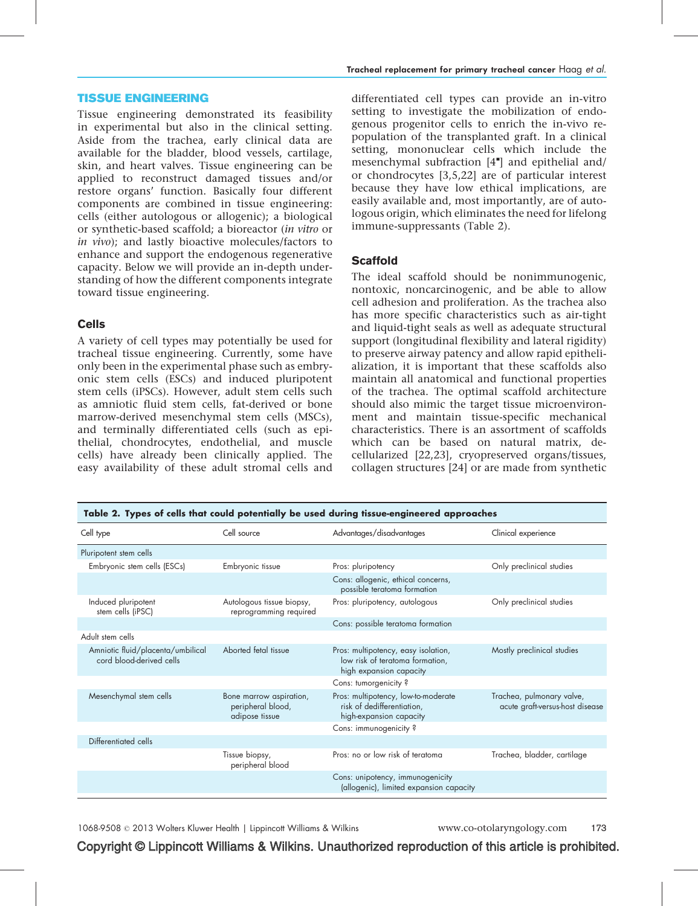#### TISSUE ENGINEERING

Tissue engineering demonstrated its feasibility in experimental but also in the clinical setting. Aside from the trachea, early clinical data are available for the bladder, blood vessels, cartilage, skin, and heart valves. Tissue engineering can be applied to reconstruct damaged tissues and/or restore organs' function. Basically four different components are combined in tissue engineering: cells (either autologous or allogenic); a biological or synthetic-based scaffold; a bioreactor (in vitro or in vivo); and lastly bioactive molecules/factors to enhance and support the endogenous regenerative capacity. Below we will provide an in-depth understanding of how the different components integrate toward tissue engineering.

## Cells

A variety of cell types may potentially be used for tracheal tissue engineering. Currently, some have only been in the experimental phase such as embryonic stem cells (ESCs) and induced pluripotent stem cells (iPSCs). However, adult stem cells such as amniotic fluid stem cells, fat-derived or bone marrow-derived mesenchymal stem cells (MSCs), and terminally differentiated cells (such as epithelial, chondrocytes, endothelial, and muscle cells) have already been clinically applied. The easy availability of these adult stromal cells and differentiated cell types can provide an in-vitro setting to investigate the mobilization of endogenous progenitor cells to enrich the in-vivo repopulation of the transplanted graft. In a clinical setting, mononuclear cells which include the mesenchymal subfraction [\[4](#page-6-0)"[\]](#page-6-0) and epithelial and/ or chondrocytes [\[3,5,22\]](#page-6-0) are of particular interest because they have low ethical implications, are easily available and, most importantly, are of autologous origin, which eliminates the need for lifelong immune-suppressants (Table 2).

#### Scaffold

The ideal scaffold should be nonimmunogenic, nontoxic, noncarcinogenic, and be able to allow cell adhesion and proliferation. As the trachea also has more specific characteristics such as air-tight and liquid-tight seals as well as adequate structural support (longitudinal flexibility and lateral rigidity) to preserve airway patency and allow rapid epithelialization, it is important that these scaffolds also maintain all anatomical and functional properties of the trachea. The optimal scaffold architecture should also mimic the target tissue microenvironment and maintain tissue-specific mechanical characteristics. There is an assortment of scaffolds which can be based on natural matrix, decellularized [\[22,23\],](#page-6-0) cryopreserved organs/tissues, collagen structures [\[24\]](#page-6-0) or are made from synthetic

| Table 2. Types of cells that could potentially be used during tissue-engineered approaches |                                                                |                                                                                                   |                                                              |  |  |
|--------------------------------------------------------------------------------------------|----------------------------------------------------------------|---------------------------------------------------------------------------------------------------|--------------------------------------------------------------|--|--|
| Cell type                                                                                  | Cell source                                                    | Advantages/disadvantages                                                                          | Clinical experience                                          |  |  |
| Pluripotent stem cells                                                                     |                                                                |                                                                                                   |                                                              |  |  |
| Embryonic stem cells (ESCs)                                                                | Embryonic tissue                                               | Pros: pluripotency                                                                                | Only preclinical studies                                     |  |  |
|                                                                                            |                                                                | Cons: allogenic, ethical concerns,<br>possible teratoma formation                                 |                                                              |  |  |
| Induced pluripotent<br>stem cells (iPSC)                                                   | Autologous tissue biopsy,<br>reprogramming required            | Pros: pluripotency, autologous                                                                    | Only preclinical studies                                     |  |  |
|                                                                                            |                                                                | Cons: possible teratoma formation                                                                 |                                                              |  |  |
| Adult stem cells                                                                           |                                                                |                                                                                                   |                                                              |  |  |
| Amniotic fluid/placenta/umbilical<br>cord blood-derived cells                              | Aborted fetal tissue                                           | Pros: multipotency, easy isolation,<br>low risk of teratoma formation,<br>high expansion capacity | Mostly preclinical studies                                   |  |  |
|                                                                                            |                                                                | Cons: tumorgenicity ?                                                                             |                                                              |  |  |
| Mesenchymal stem cells                                                                     | Bone marrow aspiration,<br>peripheral blood,<br>adipose tissue | Pros: multipotency, low-to-moderate<br>risk of dedifferentiation,<br>high-expansion capacity      | Trachea, pulmonary valve,<br>acute graft-versus-host disease |  |  |
|                                                                                            |                                                                | Cons: immunogenicity ?                                                                            |                                                              |  |  |
| Differentiated cells                                                                       |                                                                |                                                                                                   |                                                              |  |  |
|                                                                                            | Tissue biopsy,<br>peripheral blood                             | Pros: no or low risk of teratoma                                                                  | Trachea, bladder, cartilage                                  |  |  |
|                                                                                            |                                                                | Cons: unipotency, immunogenicity<br>(allogenic), limited expansion capacity                       |                                                              |  |  |

1068-9508 2013 Wolters Kluwer Health | Lippincott Williams & Wilkins www.co-otolaryngology.com 173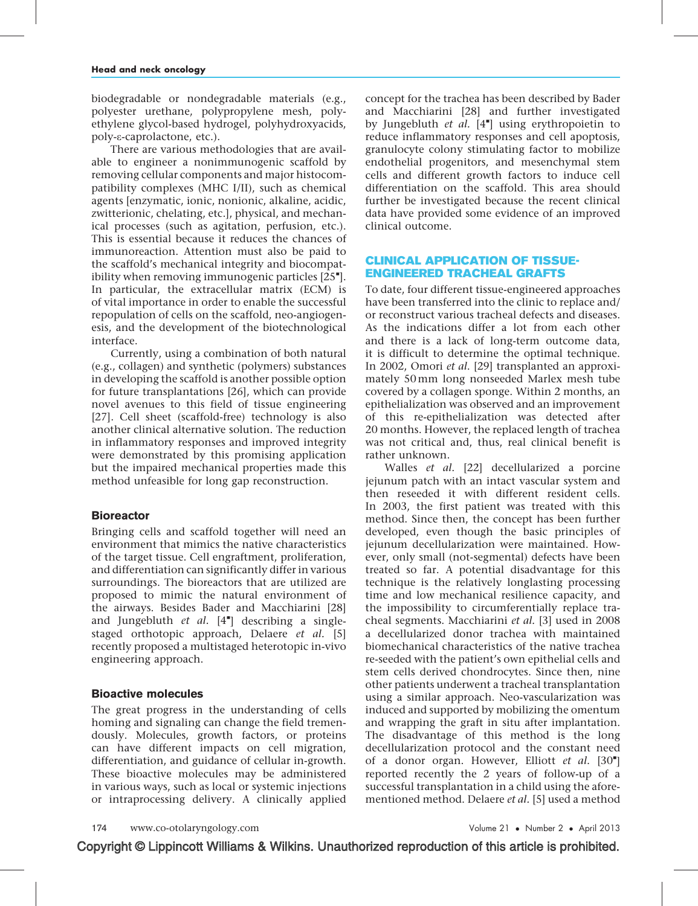biodegradable or nondegradable materials (e.g., polyester urethane, polypropylene mesh, polyethylene glycol-based hydrogel, polyhydroxyacids, poly-e-caprolactone, etc.).

There are various methodologies that are available to engineer a nonimmunogenic scaffold by removing cellular components and major histocompatibility complexes (MHC I/II), such as chemical agents [enzymatic, ionic, nonionic, alkaline, acidic, zwitterionic, chelating, etc.], physical, and mechanical processes (such as agitation, perfusion, etc.). This is essential because it reduces the chances of immunoreaction. Attention must also be paid to the scaffold's mechanical integrity and biocompat-ibility when removing immunogenic particles [\[25](#page-6-0)"[\].](#page-6-0) In particular, the extracellular matrix (ECM) is of vital importance in order to enable the successful repopulation of cells on the scaffold, neo-angiogenesis, and the development of the biotechnological interface.

Currently, using a combination of both natural (e.g., collagen) and synthetic (polymers) substances in developing the scaffold is another possible option for future transplantations [\[26\]](#page-6-0), which can provide novel avenues to this field of tissue engineering [\[27\].](#page-6-0) Cell sheet (scaffold-free) technology is also another clinical alternative solution. The reduction in inflammatory responses and improved integrity were demonstrated by this promising application but the impaired mechanical properties made this method unfeasible for long gap reconstruction.

## **Bioreactor**

Bringing cells and scaffold together will need an environment that mimics the native characteristics of the target tissue. Cell engraftment, proliferation, and differentiation can significantly differ in various surroundings. The bioreactors that are utilized are proposed to mimic the natural environment of the airways. Besides Bader and Macchiarini [\[28\]](#page-6-0) and Jungebluth et al. [\[4](#page-6-0)"[\]](#page-6-0) describing a singlestaged orthotopic approach, Delaere et al. [\[5\]](#page-6-0) recently proposed a multistaged heterotopic in-vivo engineering approach.

## Bioactive molecules

The great progress in the understanding of cells homing and signaling can change the field tremendously. Molecules, growth factors, or proteins can have different impacts on cell migration, differentiation, and guidance of cellular in-growth. These bioactive molecules may be administered in various ways, such as local or systemic injections or intraprocessing delivery. A clinically applied

concept for the trachea has been described by Bader and Macchiarini [\[28\]](#page-6-0) and further investigated by Jungebluth et al. [\[4](#page-6-0)"[\]](#page-6-0) using erythropoietin to reduce inflammatory responses and cell apoptosis, granulocyte colony stimulating factor to mobilize endothelial progenitors, and mesenchymal stem cells and different growth factors to induce cell differentiation on the scaffold. This area should further be investigated because the recent clinical data have provided some evidence of an improved clinical outcome.

#### CLINICAL APPLICATION OF TISSUE-ENGINEERED TRACHEAL GRAFTS

To date, four different tissue-engineered approaches have been transferred into the clinic to replace and/ or reconstruct various tracheal defects and diseases. As the indications differ a lot from each other and there is a lack of long-term outcome data, it is difficult to determine the optimal technique. In 2002, Omori et al. [\[29\]](#page-6-0) transplanted an approximately 50 mm long nonseeded Marlex mesh tube covered by a collagen sponge. Within 2 months, an epithelialization was observed and an improvement of this re-epithelialization was detected after 20 months. However, the replaced length of trachea was not critical and, thus, real clinical benefit is rather unknown.

Walles et al. [\[22\]](#page-6-0) decellularized a porcine jejunum patch with an intact vascular system and then reseeded it with different resident cells. In 2003, the first patient was treated with this method. Since then, the concept has been further developed, even though the basic principles of jejunum decellularization were maintained. However, only small (not-segmental) defects have been treated so far. A potential disadvantage for this technique is the relatively longlasting processing time and low mechanical resilience capacity, and the impossibility to circumferentially replace tracheal segments. Macchiarini et al. [\[3\]](#page-6-0) used in 2008 a decellularized donor trachea with maintained biomechanical characteristics of the native trachea re-seeded with the patient's own epithelial cells and stem cells derived chondrocytes. Since then, nine other patients underwent a tracheal transplantation using a similar approach. Neo-vascularization was induced and supported by mobilizing the omentum and wrapping the graft in situ after implantation. The disadvantage of this method is the long decellularization protocol and the constant need of a donor organ. However, Elliott et al. [\[30](#page-6-0)"[\]](#page-6-0) reported recently the 2 years of follow-up of a successful transplantation in a child using the aforementioned method. Delaere et al. [\[5\]](#page-6-0) used a method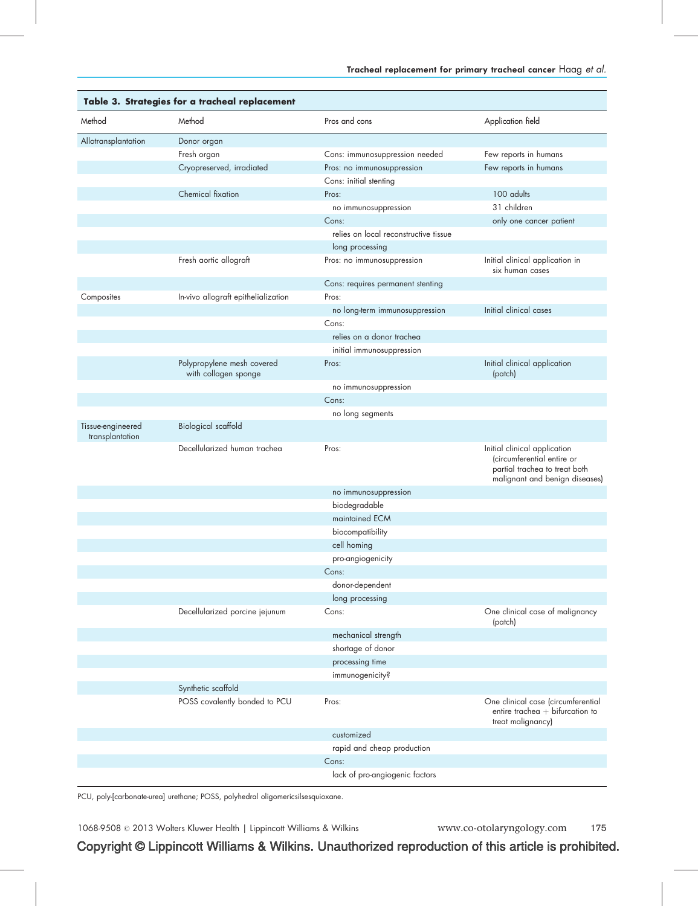| Table 3. Strategies for a tracheal replacement |                                                    |                                       |                                                                                                                               |  |  |
|------------------------------------------------|----------------------------------------------------|---------------------------------------|-------------------------------------------------------------------------------------------------------------------------------|--|--|
| Method                                         | Method                                             | Pros and cons                         | Application field                                                                                                             |  |  |
| Allotransplantation                            | Donor organ                                        |                                       |                                                                                                                               |  |  |
|                                                | Fresh organ                                        | Cons: immunosuppression needed        | Few reports in humans                                                                                                         |  |  |
|                                                | Cryopreserved, irradiated                          | Pros: no immunosuppression            | Few reports in humans                                                                                                         |  |  |
|                                                |                                                    | Cons: initial stenting                |                                                                                                                               |  |  |
|                                                | Chemical fixation                                  | Pros:                                 | 100 adults                                                                                                                    |  |  |
|                                                |                                                    | no immunosuppression                  | 31 children                                                                                                                   |  |  |
|                                                |                                                    | Cons:                                 | only one cancer patient                                                                                                       |  |  |
|                                                |                                                    | relies on local reconstructive tissue |                                                                                                                               |  |  |
|                                                |                                                    | long processing                       |                                                                                                                               |  |  |
|                                                | Fresh aortic allograft                             | Pros: no immunosuppression            | Initial clinical application in<br>six human cases                                                                            |  |  |
|                                                |                                                    | Cons: requires permanent stenting     |                                                                                                                               |  |  |
| Composites                                     | In-vivo allograft epithelialization                | Pros:                                 |                                                                                                                               |  |  |
|                                                |                                                    | no long-term immunosuppression        | Initial clinical cases                                                                                                        |  |  |
|                                                |                                                    | Cons:                                 |                                                                                                                               |  |  |
|                                                |                                                    | relies on a donor trachea             |                                                                                                                               |  |  |
|                                                |                                                    | initial immunosuppression             |                                                                                                                               |  |  |
|                                                | Polypropylene mesh covered<br>with collagen sponge | Pros:                                 | Initial clinical application<br>(patch)                                                                                       |  |  |
|                                                |                                                    | no immunosuppression                  |                                                                                                                               |  |  |
|                                                |                                                    | Cons:                                 |                                                                                                                               |  |  |
|                                                |                                                    | no long segments                      |                                                                                                                               |  |  |
| Tissue-engineered<br>transplantation           | <b>Biological scaffold</b>                         |                                       |                                                                                                                               |  |  |
|                                                | Decellularized human trachea                       | Pros:                                 | Initial clinical application<br>(circumferential entire or<br>partial trachea to treat both<br>malignant and benign diseases) |  |  |
|                                                |                                                    | no immunosuppression                  |                                                                                                                               |  |  |
|                                                |                                                    | biodegradable                         |                                                                                                                               |  |  |
|                                                |                                                    | maintained ECM                        |                                                                                                                               |  |  |
|                                                |                                                    | biocompatibility                      |                                                                                                                               |  |  |
|                                                |                                                    | cell homing                           |                                                                                                                               |  |  |
|                                                |                                                    | pro-angiogenicity                     |                                                                                                                               |  |  |
|                                                |                                                    | Cons:                                 |                                                                                                                               |  |  |
|                                                |                                                    | donor-dependent                       |                                                                                                                               |  |  |
|                                                |                                                    | long processing                       |                                                                                                                               |  |  |
|                                                | Decellularized porcine jejunum                     | Cons:                                 | One clinical case of malignancy<br>(patch)                                                                                    |  |  |
|                                                |                                                    | mechanical strength                   |                                                                                                                               |  |  |
|                                                |                                                    | shortage of donor                     |                                                                                                                               |  |  |
|                                                |                                                    | processing time                       |                                                                                                                               |  |  |
|                                                |                                                    | immunogenicity?                       |                                                                                                                               |  |  |
|                                                | Synthetic scaffold                                 |                                       |                                                                                                                               |  |  |
|                                                | POSS covalently bonded to PCU                      | Pros:                                 | One clinical case (circumferential<br>entire trachea $+$ bifurcation to<br>treat malignancy)                                  |  |  |
|                                                |                                                    | customized                            |                                                                                                                               |  |  |
|                                                |                                                    | rapid and cheap production            |                                                                                                                               |  |  |
|                                                |                                                    | Cons:                                 |                                                                                                                               |  |  |
|                                                |                                                    | lack of pro-angiogenic factors        |                                                                                                                               |  |  |

PCU, poly-[carbonate-urea] urethane; POSS, polyhedral oligomericsilsesquioxane.

1068-9508 © 2013 Wolters Kluwer Health | Lippincott Williams & Wilkins www.co-otolaryngology.com 175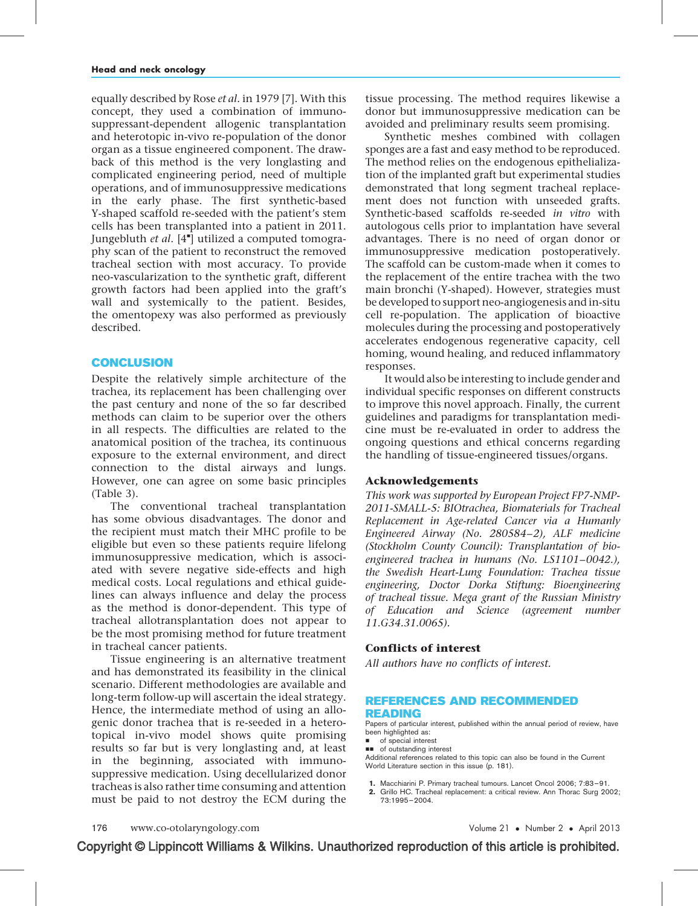<span id="page-5-0"></span>equally described by Rose et al. in 1979 [\[7\]](#page-6-0). With this concept, they used a combination of immunosuppressant-dependent allogenic transplantation and heterotopic in-vivo re-population of the donor organ as a tissue engineered component. The drawback of this method is the very longlasting and complicated engineering period, need of multiple operations, and of immunosuppressive medications in the early phase. The first synthetic-based Y-shaped scaffold re-seeded with the patient's stem cells has been transplanted into a patient in 2011. Jungebluth et al. [\[4](#page-6-0)"[\]](#page-6-0) utilized a computed tomography scan of the patient to reconstruct the removed tracheal section with most accuracy. To provide neo-vascularization to the synthetic graft, different growth factors had been applied into the graft's wall and systemically to the patient. Besides, the omentopexy was also performed as previously described.

## **CONCLUSION**

Despite the relatively simple architecture of the trachea, its replacement has been challenging over the past century and none of the so far described methods can claim to be superior over the others in all respects. The difficulties are related to the anatomical position of the trachea, its continuous exposure to the external environment, and direct connection to the distal airways and lungs. However, one can agree on some basic principles (Table 3).

The conventional tracheal transplantation has some obvious disadvantages. The donor and the recipient must match their MHC profile to be eligible but even so these patients require lifelong immunosuppressive medication, which is associated with severe negative side-effects and high medical costs. Local regulations and ethical guidelines can always influence and delay the process as the method is donor-dependent. This type of tracheal allotransplantation does not appear to be the most promising method for future treatment in tracheal cancer patients.

Tissue engineering is an alternative treatment and has demonstrated its feasibility in the clinical scenario. Different methodologies are available and long-term follow-up will ascertain the ideal strategy. Hence, the intermediate method of using an allogenic donor trachea that is re-seeded in a heterotopical in-vivo model shows quite promising results so far but is very longlasting and, at least in the beginning, associated with immunosuppressive medication. Using decellularized donor tracheas is also rather time consuming and attention must be paid to not destroy the ECM during the

tissue processing. The method requires likewise a donor but immunosuppressive medication can be avoided and preliminary results seem promising.

Synthetic meshes combined with collagen sponges are a fast and easy method to be reproduced. The method relies on the endogenous epithelialization of the implanted graft but experimental studies demonstrated that long segment tracheal replacement does not function with unseeded grafts. Synthetic-based scaffolds re-seeded *in vitro* with autologous cells prior to implantation have several advantages. There is no need of organ donor or immunosuppressive medication postoperatively. The scaffold can be custom-made when it comes to the replacement of the entire trachea with the two main bronchi (Y-shaped). However, strategies must be developed to support neo-angiogenesis and in-situ cell re-population. The application of bioactive molecules during the processing and postoperatively accelerates endogenous regenerative capacity, cell homing, wound healing, and reduced inflammatory responses.

It would also be interesting to include gender and individual specific responses on different constructs to improve this novel approach. Finally, the current guidelines and paradigms for transplantation medicine must be re-evaluated in order to address the ongoing questions and ethical concerns regarding the handling of tissue-engineered tissues/organs.

#### Acknowledgements

This work was supported by European Project FP7-NMP-2011-SMALL-5: BIOtrachea, Biomaterials for Tracheal Replacement in Age-related Cancer via a Humanly Engineered Airway (No. 280584–2), ALF medicine (Stockholm County Council): Transplantation of bioengineered trachea in humans (No. LS1101–0042.), the Swedish Heart-Lung Foundation: Trachea tissue engineering, Doctor Dorka Stiftung: Bioengineering of tracheal tissue. Mega grant of the Russian Ministry of Education and Science (agreement number 11.G34.31.0065).

#### Conflicts of interest

All authors have no conflicts of interest.

#### REFERENCES AND RECOMMENDED READING

Papers of particular interest, published within the annual period of review, have been highlighted as:

of special interest  $\blacksquare$  of outstanding interest

Additional references related to this topic can also be found in the Current World Literature section in this issue (p. 181).

1. Macchiarini P. Primary tracheal tumours. Lancet Oncol 2006; 7:83–91.

2. Grillo HC. Tracheal replacement: a critical review. Ann Thorac Surg 2002; 73:1995–2004.

176 www.co-otolaryngology.com